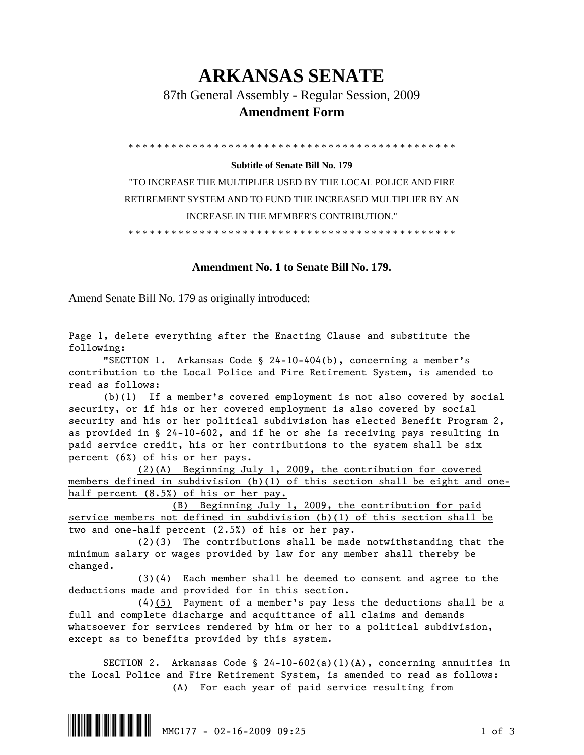## **ARKANSAS SENATE**

87th General Assembly - Regular Session, 2009

## **Amendment Form**

\* \* \* \* \* \* \* \* \* \* \* \* \* \* \* \* \* \* \* \* \* \* \* \* \* \* \* \* \* \* \* \* \* \* \* \* \* \* \* \* \* \* \* \* \* \*

## **Subtitle of Senate Bill No. 179**

"TO INCREASE THE MULTIPLIER USED BY THE LOCAL POLICE AND FIRE RETIREMENT SYSTEM AND TO FUND THE INCREASED MULTIPLIER BY AN INCREASE IN THE MEMBER'S CONTRIBUTION."

\* \* \* \* \* \* \* \* \* \* \* \* \* \* \* \* \* \* \* \* \* \* \* \* \* \* \* \* \* \* \* \* \* \* \* \* \* \* \* \* \* \* \* \* \* \*

## **Amendment No. 1 to Senate Bill No. 179.**

Amend Senate Bill No. 179 as originally introduced:

Page 1, delete everything after the Enacting Clause and substitute the following:

 "SECTION 1. Arkansas Code § 24-10-404(b), concerning a member's contribution to the Local Police and Fire Retirement System, is amended to read as follows:

 (b)(1) If a member's covered employment is not also covered by social security, or if his or her covered employment is also covered by social security and his or her political subdivision has elected Benefit Program 2, as provided in § 24-10-602, and if he or she is receiving pays resulting in paid service credit, his or her contributions to the system shall be six percent (6%) of his or her pays.

 (2)(A) Beginning July 1, 2009, the contribution for covered members defined in subdivision (b)(1) of this section shall be eight and onehalf percent (8.5%) of his or her pay.

 (B) Beginning July 1, 2009, the contribution for paid service members not defined in subdivision (b)(1) of this section shall be two and one-half percent (2.5%) of his or her pay.

 $(2)(3)$  The contributions shall be made notwithstanding that the minimum salary or wages provided by law for any member shall thereby be changed.

 $(3)$ (4) Each member shall be deemed to consent and agree to the deductions made and provided for in this section.

 (4)(5) Payment of a member's pay less the deductions shall be a full and complete discharge and acquittance of all claims and demands whatsoever for services rendered by him or her to a political subdivision, except as to benefits provided by this system.

 SECTION 2. Arkansas Code § 24-10-602(a)(1)(A), concerning annuities in the Local Police and Fire Retirement System, is amended to read as follows: (A) For each year of paid service resulting from

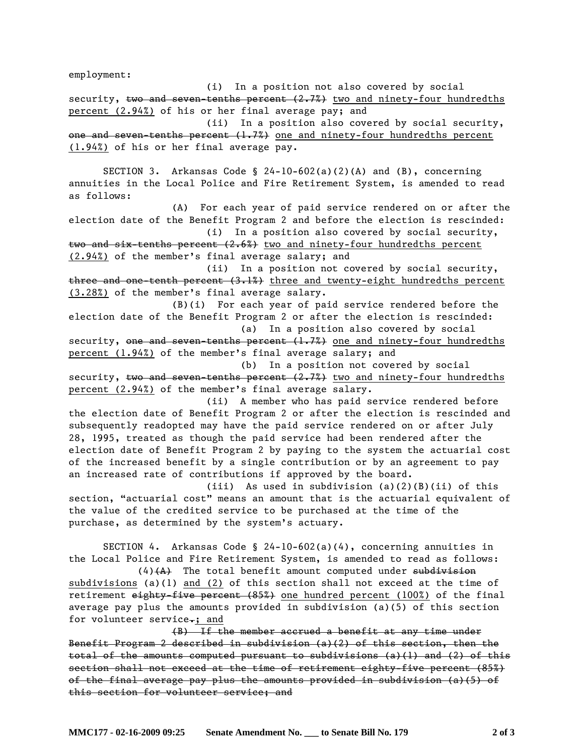employment:

 (i) In a position not also covered by social security,  $t_{w0}$  and seven-tenths percent  $(2.7%)$  two and ninety-four hundredths percent (2.94%) of his or her final average pay; and (ii) In a position also covered by social security, one and seven-tenths percent  $(1.7%)$  one and ninety-four hundredths percent (1.94%) of his or her final average pay. SECTION 3. Arkansas Code § 24-10-602(a)(2)(A) and (B), concerning annuities in the Local Police and Fire Retirement System, is amended to read as follows: (A) For each year of paid service rendered on or after the election date of the Benefit Program 2 and before the election is rescinded: (i) In a position also covered by social security, two and six-tenths percent  $(2.6%)$  two and ninety-four hundredths percent (2.94%) of the member's final average salary; and (ii) In a position not covered by social security, three and one-tenth percent (3.1%) three and twenty-eight hundredths percent (3.28%) of the member's final average salary. (B)(i) For each year of paid service rendered before the election date of the Benefit Program 2 or after the election is rescinded: (a) In a position also covered by social security, one and seven-tenths percent  $(1.7%)$  one and ninety-four hundredths percent (1.94%) of the member's final average salary; and (b) In a position not covered by social security,  $t_{\text{WO}}$  and seven-tenths percent  $(2.7%)$  two and ninety-four hundredths percent (2.94%) of the member's final average salary. (ii) A member who has paid service rendered before the election date of Benefit Program 2 or after the election is rescinded and subsequently readopted may have the paid service rendered on or after July 28, 1995, treated as though the paid service had been rendered after the election date of Benefit Program 2 by paying to the system the actuarial cost of the increased benefit by a single contribution or by an agreement to pay an increased rate of contributions if approved by the board. (iii) As used in subdivision  $(a)(2)(B)(ii)$  of this section, "actuarial cost" means an amount that is the actuarial equivalent of the value of the credited service to be purchased at the time of the purchase, as determined by the system's actuary. SECTION 4. Arkansas Code § 24-10-602(a)(4), concerning annuities in the Local Police and Fire Retirement System, is amended to read as follows:  $(4)$   $(A)$  The total benefit amount computed under subdivision subdivisions (a)(1) and (2) of this section shall not exceed at the time of retirement eighty-five percent (85%) one hundred percent (100%) of the final average pay plus the amounts provided in subdivision (a)(5) of this section for volunteer service.; and (B) If the member accrued a benefit at any time under Benefit Program 2 described in subdivision (a)(2) of this section, then the total of the amounts computed pursuant to subdivisions (a)(1) and (2) of this section shall not exceed at the time of retirement eighty-five percent (85%) of the final average pay plus the amounts provided in subdivision (a)(5) of this section for volunteer service; and